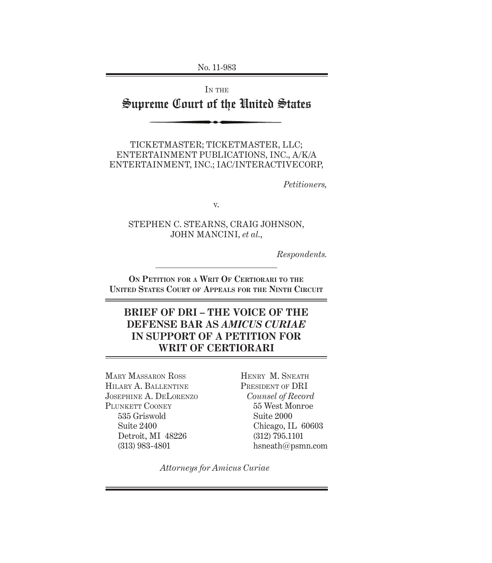No. 11-983

# IN THE Supreme Court of the United States

TICKETMASTER; TICKETMASTER, LLC; ENTERTAINMENT PUBLICATIONS, INC., A/K/A ENTERTAINMENT, INC.; IAC/INTERACTIVECORP,

*Petitioners,*

v.

STEPHEN C. STEARNS, CRAIG JOHNSON, JOHN MANCINI, *et al.*,

*Respondents.*

**ON PETITION FOR A WRIT OF CERTIORARI TO THE UNITED STATES COURT OF APPEALS FOR THE NINTH CIRCUIT**

## **BRIEF OF DRI – THE VOICE OF THE DEFENSE BAR AS** *AMICUS CURIAE* **IN SUPPORT OF A PETITION FOR WRIT OF CERTIORARI**

MARY MASSARON ROSS HILARY A. BALLENTINE JOSEPHINE A. DELORENZO PLUNKETT COONEY 535 Griswold Suite 2400 Detroit, MI 48226 (313) 983-4801

HENRY M. SNEATH PRESIDENT OF DRI *Counsel of Record* 55 West Monroe Suite 2000 Chicago, IL 60603 (312) 795.1101 hsneath@psmn.com

*Attorneys for Amicus Curiae*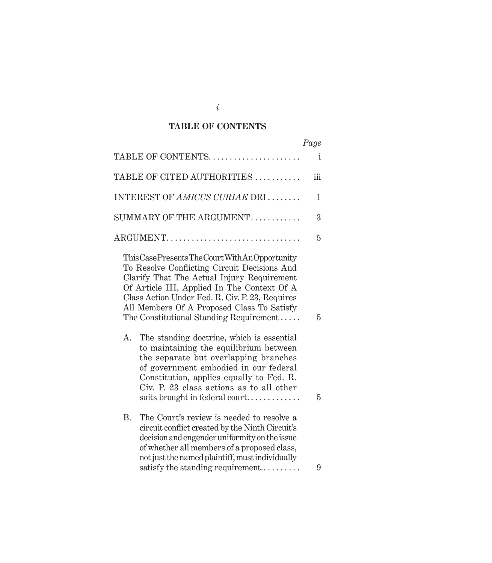## **TABLE OF CONTENTS**

|                                                                                                                                                                                                                                                                                                                                           | Page |
|-------------------------------------------------------------------------------------------------------------------------------------------------------------------------------------------------------------------------------------------------------------------------------------------------------------------------------------------|------|
| TABLE OF CONTENTS                                                                                                                                                                                                                                                                                                                         | i    |
| TABLE OF CITED AUTHORITIES                                                                                                                                                                                                                                                                                                                | iii  |
| INTEREST OF AMICUS CURIAE DRI                                                                                                                                                                                                                                                                                                             | 1    |
| SUMMARY OF THE ARGUMENT                                                                                                                                                                                                                                                                                                                   | 3    |
| ARGUMENT                                                                                                                                                                                                                                                                                                                                  | 5    |
| This Case Presents The Court With An Opportunity<br>To Resolve Conflicting Circuit Decisions And<br>Clarify That The Actual Injury Requirement<br>Of Article III, Applied In The Context Of A<br>Class Action Under Fed. R. Civ. P. 23, Requires<br>All Members Of A Proposed Class To Satisfy<br>The Constitutional Standing Requirement | 5    |
| The standing doctrine, which is essential<br>Α.<br>to maintaining the equilibrium between<br>the separate but overlapping branches<br>of government embodied in our federal<br>Constitution, applies equally to Fed. R.<br>Civ. P. 23 class actions as to all other<br>suits brought in federal court                                     | 5    |
| <b>B.</b><br>The Court's review is needed to resolve a<br>circuit conflict created by the Ninth Circuit's<br>decision and engender uniformity on the issue<br>of whether all members of a proposed class,<br>not just the named plaintiff, must individually<br>satisfy the standing requirement                                          | 9    |

*i*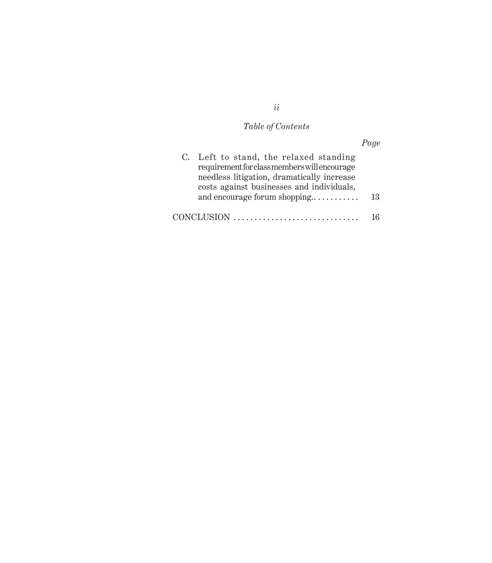## *Table of Contents*

# *Page* C. Left to stand, the relaxed standing requirement for class members will encourage needless litigation, dramatically increase costs against businesses and individuals, and encourage forum shopping.. . . . . . . . . . . 13 CONCLUSION . . . . . . . . . . . . . . . . . . . . . . . . . . . . . . 16

*ii*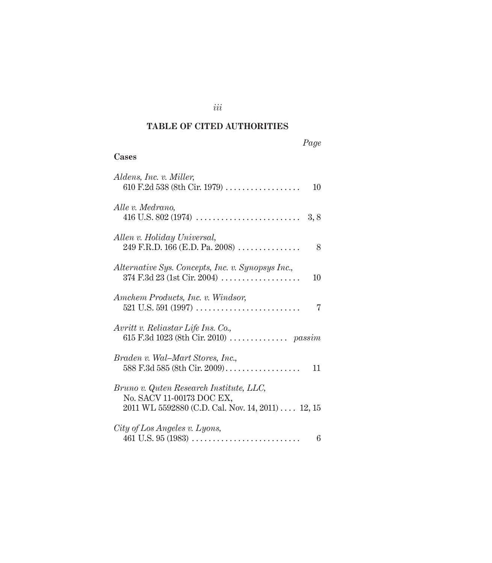#### **TABLE OF CITED AUTHORITIES**

# **Cases** *Aldens, Inc. v. Miller,*  610 F.2d 538 (8th Cir. 1979) . . . . . . . . . . . . . . . . . . 10 *Alle v. Medrano,*  416 U.S. 802 (1974) . . . . . . . . . . . . . . . . . . . . . . . . . 3, 8 *Allen v. Holiday Universal,*  249 F.R.D. 166 (E.D. Pa. 2008) . . . . . . . . . . . . . . . . 8 *Alternative Sys. Concepts, Inc. v. Synopsys Inc.,*  374 F.3d 23 (1st Cir. 2004) . . . . . . . . . . . . . . . . . . . 10 *Amchem Products, Inc. v. Windsor,*  521 U.S. 591 (1997) . . . . . . . . . . . . . . . . . . . . . . . . . 7 *Avritt v. Reliastar Life Ins. Co.,*  615 F.3d 1023 (8th Cir. 2010) . . . . . . . . . . . . . . *passim Braden v. Wal–Mart Stores, Inc.,*  588 F.3d 585 (8th Cir. 2009) . . . . . . . . . . . . . . . . . . 11 *Bruno v. Quten Research Institute, LLC,*  No. SACV 11-00173 DOC EX, 2011 WL 5592880 (C.D. Cal. Nov. 14, 2011) . . . . 12, 15 *City of Los Angeles v. Lyons,*   $461 \text{ U.S. } 95 \,(1983) \,\ldots\ldots\ldots\ldots\ldots\ldots\ldots\ldots\ldots\,6$

*iii*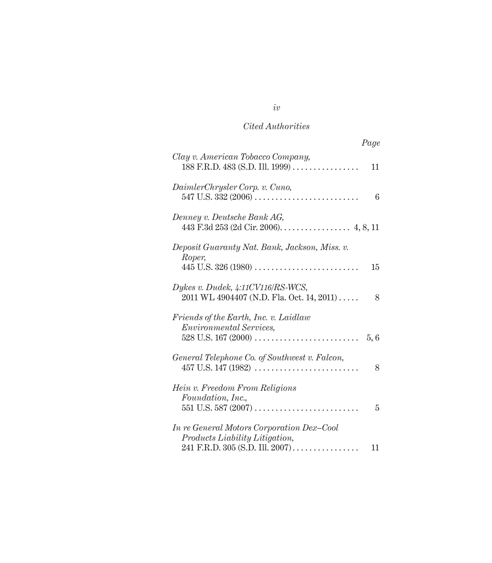|                                                                                                                | Page |
|----------------------------------------------------------------------------------------------------------------|------|
| Clay v. American Tobacco Company,<br>$188$ F.R.D. 483 (S.D. Ill. 1999)                                         | 11   |
| DaimlerChrysler Corp. v. Cuno,                                                                                 | 6    |
| Denney v. Deutsche Bank AG,<br>443 F.3d 253 (2d Cir. 2006). 4, 8, 11                                           |      |
| Deposit Guaranty Nat. Bank, Jackson, Miss. v.<br>Roper,<br>$445$ U.S. 326 (1980)                               | 15   |
| Dykes v. Dudek, 4:11CV116/RS-WCS,<br>2011 WL 4904407 (N.D. Fla. Oct. 14, 2011)                                 | 8    |
| Friends of the Earth, Inc. v. Laidlaw<br><b>Environmental Services,</b>                                        | 5,6  |
| General Telephone Co. of Southwest v. Falcon,                                                                  | 8    |
| Hein v. Freedom From Religions<br>Foundation, Inc.,                                                            | 5    |
| In re General Motors Corporation Dex-Cool<br>Products Liability Litigation,<br>241 F.R.D. 305 (S.D. Ill. 2007) | 11   |

*iv*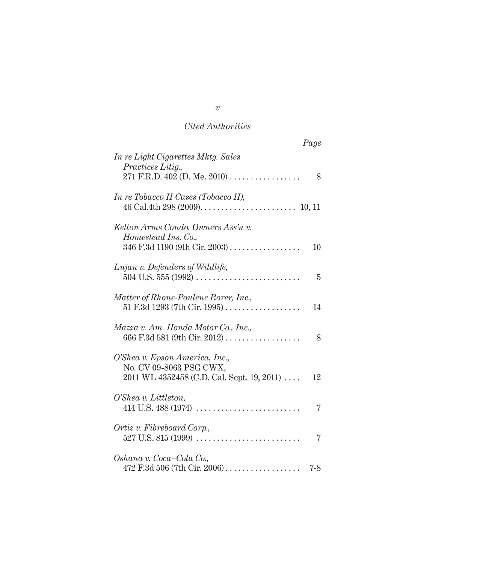|                                                                                                         | Page    |
|---------------------------------------------------------------------------------------------------------|---------|
| In re Light Cigarettes Mktg. Sales<br>Practices Litig.,<br>271 F.R.D. 402 (D. Me. 2010)                 | 8       |
| <i>In re Tobacco II Cases (Tobacco II),</i>                                                             |         |
| Kelton Arms Condo. Owners Ass'n v.<br>Homestead Ins. Co.,<br>346 F.3d 1190 (9th Cir. 2003)              | 10      |
| Lujan v. Defenders of Wildlife,                                                                         | 5       |
| Matter of Rhone-Poulenc Rorer, Inc.,<br>51 F.3d 1293 (7th Cir. 1995)                                    | 14      |
| Mazza v. Am. Honda Motor Co., Inc.,<br>666 F.3d 581 (9th Cir. 2012)                                     | 8       |
| O'Shea v. Epson America, Inc.,<br>No. CV 09-8063 PSG CWX,<br>2011 WL 4352458 (C.D. Cal. Sept. 19, 2011) | 12      |
| O'Shea v. Littleton,                                                                                    | 7       |
| Ortiz v. Fibreboard Corp.,                                                                              | 7       |
| Oshana v. Coca–Cola Co.,<br>$472$ F.3d 506 (7th Cir. 2006)                                              | $7 - 8$ |

*v*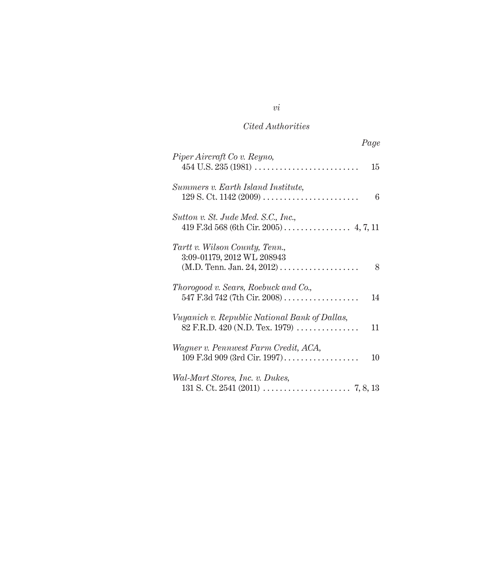| Page                                                                                                                                               |
|----------------------------------------------------------------------------------------------------------------------------------------------------|
| Piper Aircraft Co v. Reyno,<br>$454$ U.S. $235$ (1981)<br>15                                                                                       |
| Summers v. Earth Island Institute,<br>$129$ S. Ct. $1142(2009)$<br>6                                                                               |
| Sutton v. St. Jude Med. S.C., Inc.,<br>419 F.3d 568 (6th Cir. 2005) 4, 7, 11                                                                       |
| Tartt v. Wilson County, Tenn.,<br>3:09-01179, 2012 WL 208943<br>8                                                                                  |
| Thorogood v. Sears, Roebuck and Co.,<br>547 F.3d 742 (7th Cir. 2008)<br>14                                                                         |
| Vuyanich v. Republic National Bank of Dallas,<br>82 F.R.D. 420 (N.D. Tex. 1979) $\ldots$<br>11                                                     |
| Wagner v. Pennwest Farm Credit, ACA,<br>$109 \text{ F.}3d \text{ } 909 \text{ } (3rd \text{ Cir. } 1997) \ldots \ldots \ldots \ldots \ldots$<br>10 |
| Wal-Mart Stores, Inc. v. Dukes,                                                                                                                    |

*vi*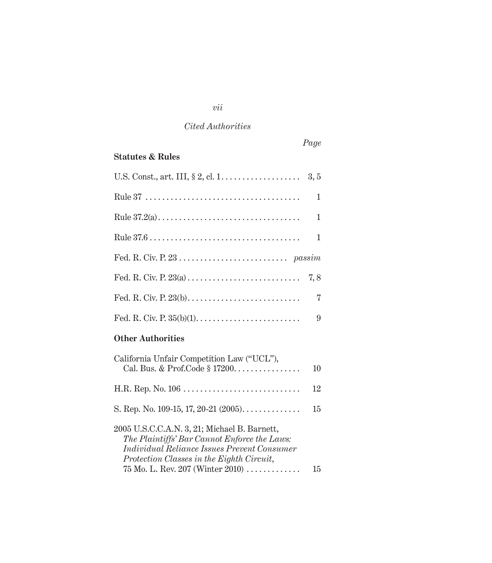| Page                                                                                                                                                                                                                                        |
|---------------------------------------------------------------------------------------------------------------------------------------------------------------------------------------------------------------------------------------------|
| <b>Statutes &amp; Rules</b>                                                                                                                                                                                                                 |
|                                                                                                                                                                                                                                             |
| 1                                                                                                                                                                                                                                           |
| 1                                                                                                                                                                                                                                           |
| 1                                                                                                                                                                                                                                           |
|                                                                                                                                                                                                                                             |
| 7, 8                                                                                                                                                                                                                                        |
| 7                                                                                                                                                                                                                                           |
| 9                                                                                                                                                                                                                                           |
| <b>Other Authorities</b>                                                                                                                                                                                                                    |
| California Unfair Competition Law ("UCL"),<br>Cal. Bus. & Prof.Code $\S 17200$<br>10                                                                                                                                                        |
| 12                                                                                                                                                                                                                                          |
| S. Rep. No. 109-15, 17, 20-21 $(2005)$<br>15                                                                                                                                                                                                |
| 2005 U.S.C.C.A.N. 3, 21; Michael B. Barnett,<br>The Plaintiffs' Bar Cannot Enforce the Laws:<br><i>Individual Reliance Issues Prevent Consumer</i><br>Protection Classes in the Eighth Circuit,<br>75 Mo. L. Rev. 207 (Winter $2010)$<br>15 |

# *vii*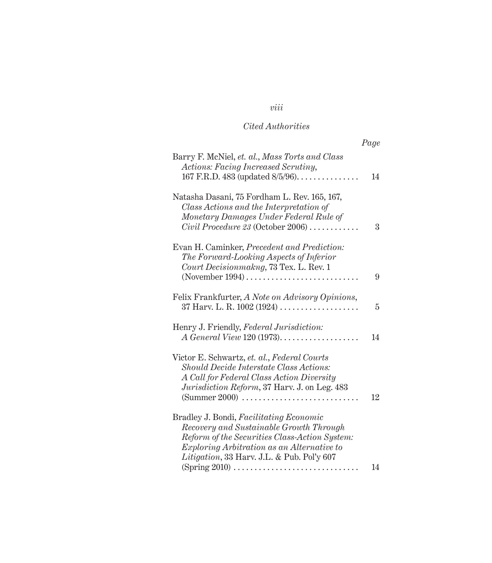# *viii*

## *Cited Authorities*

|                                                                                                                                                                                                                                                                | Page |
|----------------------------------------------------------------------------------------------------------------------------------------------------------------------------------------------------------------------------------------------------------------|------|
| Barry F. McNiel, et. al., Mass Torts and Class<br>Actions: Facing Increased Scrutiny,<br>167 F.R.D. 483 (updated $8/5/96$ )                                                                                                                                    | 14   |
| Natasha Dasani, 75 Fordham L. Rev. 165, 167,<br>Class Actions and the Interpretation of<br>Monetary Damages Under Federal Rule of<br>Civil Procedure 23 (October 2006) $\ldots \ldots \ldots$                                                                  | 3    |
| Evan H. Caminker, <i>Precedent and Prediction</i> :<br>The Forward-Looking Aspects of Inferior<br>Court Decisionmakng, 73 Tex. L. Rev. 1                                                                                                                       | 9    |
| Felix Frankfurter, A Note on Advisory Opinions,                                                                                                                                                                                                                | 5    |
| Henry J. Friendly, Federal Jurisdiction:<br>$\Lambda$ General View 120 (1973)                                                                                                                                                                                  | 14   |
| Victor E. Schwartz, et. al., Federal Courts<br>Should Decide Interstate Class Actions:<br>A Call for Federal Class Action Diversity<br>Jurisdiction Reform, 37 Harv. J. on Leg. 483<br>$(Summer 2000) \ldots \ldots \ldots \ldots \ldots \ldots \ldots \ldots$ | 12   |
| Bradley J. Bondi, Facilitating Economic<br>Recovery and Sustainable Growth Through<br>Reform of the Securities Class-Action System:<br><i>Exploring Arbitration as an Alternative to</i><br>Litigation, 33 Harv. J.L. & Pub. Pol'y 607                         |      |
| $(Spring 2010) \ldots$                                                                                                                                                                                                                                         | 14   |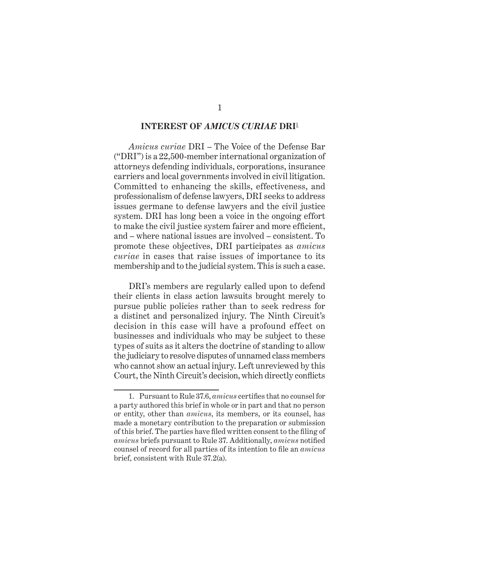#### **INTEREST OF** *AMICUS CURIAE* **DRI**<sup>1</sup>

*Amicus curiae* DRI – The Voice of the Defense Bar ("DRI") is a 22,500-member international organization of attorneys defending individuals, corporations, insurance carriers and local governments involved in civil litigation. Committed to enhancing the skills, effectiveness, and professionalism of defense lawyers, DRI seeks to address issues germane to defense lawyers and the civil justice system. DRI has long been a voice in the ongoing effort to make the civil justice system fairer and more efficient, and – where national issues are involved – consistent. To promote these objectives, DRI participates as *amicus curiae* in cases that raise issues of importance to its membership and to the judicial system. This is such a case.

DRI's members are regularly called upon to defend their clients in class action lawsuits brought merely to pursue public policies rather than to seek redress for a distinct and personalized injury. The Ninth Circuit's decision in this case will have a profound effect on businesses and individuals who may be subject to these types of suits as it alters the doctrine of standing to allow the judiciary to resolve disputes of unnamed class members who cannot show an actual injury. Left unreviewed by this Court, the Ninth Circuit's decision, which directly conflicts

<sup>1.</sup> Pursuant to Rule 37.6, *amicus* certifies that no counsel for a party authored this brief in whole or in part and that no person or entity, other than *amicus*, its members, or its counsel, has made a monetary contribution to the preparation or submission of this brief. The parties have filed written consent to the filing of *amicus* briefs pursuant to Rule 37. Additionally, *amicus* notified counsel of record for all parties of its intention to file an *amicus* brief, consistent with Rule 37.2(a).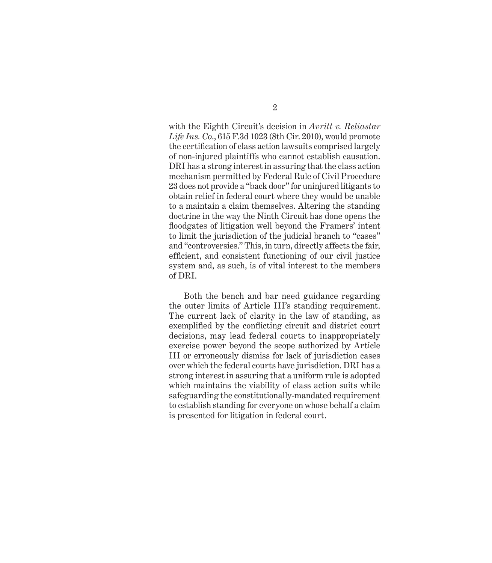with the Eighth Circuit's decision in *Avritt v. Reliastar Life Ins. Co*., 615 F.3d 1023 (8th Cir. 2010), would promote the certification of class action lawsuits comprised largely of non-injured plaintiffs who cannot establish causation. DRI has a strong interest in assuring that the class action mechanism permitted by Federal Rule of Civil Procedure 23 does not provide a "back door" for uninjured litigants to obtain relief in federal court where they would be unable to a maintain a claim themselves. Altering the standing doctrine in the way the Ninth Circuit has done opens the floodgates of litigation well beyond the Framers' intent to limit the jurisdiction of the judicial branch to "cases" and "controversies." This, in turn, directly affects the fair, efficient, and consistent functioning of our civil justice system and, as such, is of vital interest to the members of DRI.

Both the bench and bar need guidance regarding the outer limits of Article III's standing requirement. The current lack of clarity in the law of standing, as exemplified by the conflicting circuit and district court decisions, may lead federal courts to inappropriately exercise power beyond the scope authorized by Article III or erroneously dismiss for lack of jurisdiction cases over which the federal courts have jurisdiction. DRI has a strong interest in assuring that a uniform rule is adopted which maintains the viability of class action suits while safeguarding the constitutionally-mandated requirement to establish standing for everyone on whose behalf a claim is presented for litigation in federal court.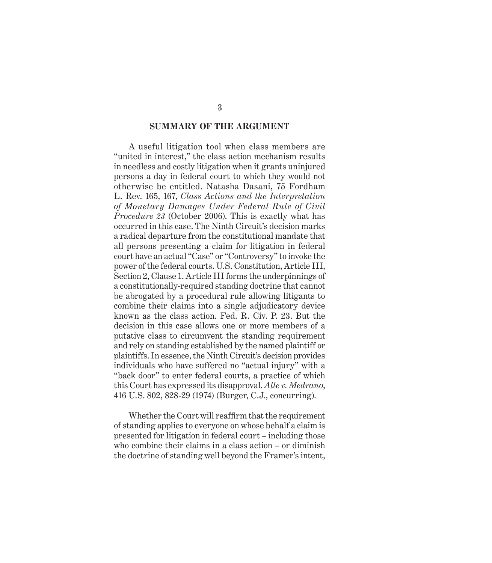#### **SUMMARY OF THE ARGUMENT**

A useful litigation tool when class members are "united in interest," the class action mechanism results in needless and costly litigation when it grants uninjured persons a day in federal court to which they would not otherwise be entitled. Natasha Dasani, 75 Fordham L. Rev. 165, 167, *Class Actions and the Interpretation of Monetary Damages Under Federal Rule of Civil Procedure 23* (October 2006). This is exactly what has occurred in this case. The Ninth Circuit's decision marks a radical departure from the constitutional mandate that all persons presenting a claim for litigation in federal court have an actual "Case" or "Controversy" to invoke the power of the federal courts. U.S. Constitution, Article III, Section 2, Clause 1. Article III forms the underpinnings of a constitutionally-required standing doctrine that cannot be abrogated by a procedural rule allowing litigants to combine their claims into a single adjudicatory device known as the class action. Fed. R. Civ. P. 23. But the decision in this case allows one or more members of a putative class to circumvent the standing requirement and rely on standing established by the named plaintiff or plaintiffs. In essence, the Ninth Circuit's decision provides individuals who have suffered no "actual injury" with a "back door" to enter federal courts, a practice of which this Court has expressed its disapproval. *Alle v. Medrano*, 416 U.S. 802, 828-29 (1974) (Burger, C.J., concurring).

Whether the Court will reaffirm that the requirement of standing applies to everyone on whose behalf a claim is presented for litigation in federal court – including those who combine their claims in a class action – or diminish the doctrine of standing well beyond the Framer's intent,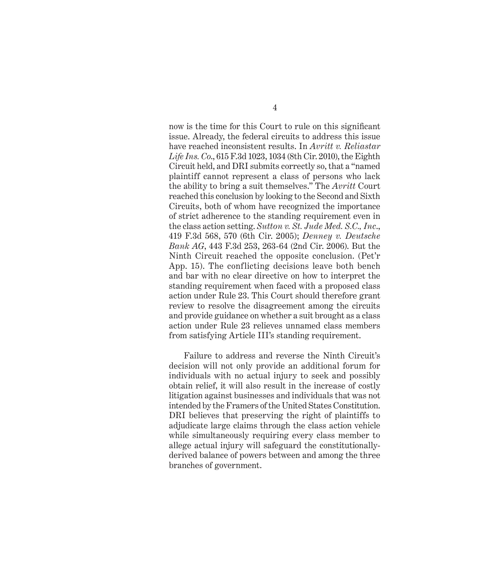now is the time for this Court to rule on this significant issue. Already, the federal circuits to address this issue have reached inconsistent results. In *Avritt v. Reliastar Life Ins. Co*., 615 F.3d 1023, 1034 (8th Cir. 2010), the Eighth Circuit held, and DRI submits correctly so, that a "named plaintiff cannot represent a class of persons who lack the ability to bring a suit themselves." The *Avritt* Court reached this conclusion by looking to the Second and Sixth Circuits, both of whom have recognized the importance of strict adherence to the standing requirement even in the class action setting. *Sutton v. St. Jude Med. S.C., Inc*., 419 F.3d 568, 570 (6th Cir. 2005); *Denney v. Deutsche Bank AG*, 443 F.3d 253, 263-64 (2nd Cir. 2006). But the Ninth Circuit reached the opposite conclusion. (Pet'r App. 15). The conflicting decisions leave both bench and bar with no clear directive on how to interpret the standing requirement when faced with a proposed class action under Rule 23. This Court should therefore grant review to resolve the disagreement among the circuits and provide guidance on whether a suit brought as a class action under Rule 23 relieves unnamed class members from satisfying Article III's standing requirement.

Failure to address and reverse the Ninth Circuit's decision will not only provide an additional forum for individuals with no actual injury to seek and possibly obtain relief, it will also result in the increase of costly litigation against businesses and individuals that was not intended by the Framers of the United States Constitution. DRI believes that preserving the right of plaintiffs to adjudicate large claims through the class action vehicle while simultaneously requiring every class member to allege actual injury will safeguard the constitutionallyderived balance of powers between and among the three branches of government.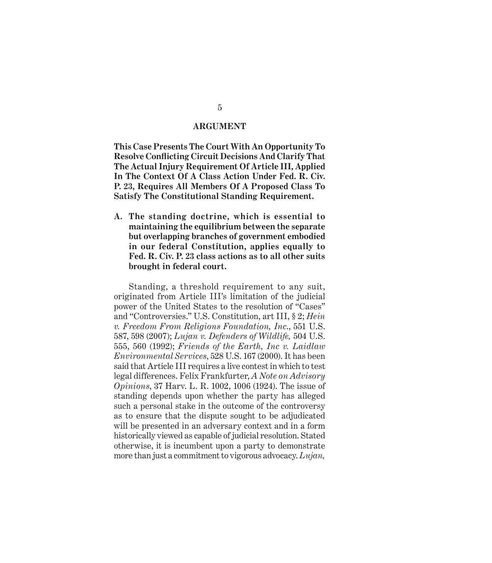#### **ARGUMENT**

**This Case Presents The Court With An Opportunity To Resolve Confl icting Circuit Decisions And Clarify That The Actual Injury Requirement Of Article III, Applied In The Context Of A Class Action Under Fed. R. Civ. P. 23, Requires All Members Of A Proposed Class To Satisfy The Constitutional Standing Requirement.** 

**A. The standing doctrine, which is essential to maintaining the equilibrium between the separate but overlapping branches of government embodied in our federal Constitution, applies equally to Fed. R. Civ. P. 23 class actions as to all other suits brought in federal court.** 

Standing, a threshold requirement to any suit, originated from Article III's limitation of the judicial power of the United States to the resolution of "Cases" and "Controversies." U.S. Constitution, art III, § 2; *Hein v. Freedom From Religions Foundation, Inc*., 551 U.S. 587, 598 (2007); *Lujan v. Defenders of Wildlife,* 504 U.S. 555, 560 (1992); *Friends of the Earth, Inc v. Laidlaw Environmental Services*, 528 U.S. 167 (2000). It has been said that Article III requires a live contest in which to test legal differences. Felix Frankfurter, *A Note on Advisory Opinions*, 37 Harv. L. R. 1002, 1006 (1924). The issue of standing depends upon whether the party has alleged such a personal stake in the outcome of the controversy as to ensure that the dispute sought to be adjudicated will be presented in an adversary context and in a form historically viewed as capable of judicial resolution. Stated otherwise, it is incumbent upon a party to demonstrate more than just a commitment to vigorous advocacy. *Lujan,*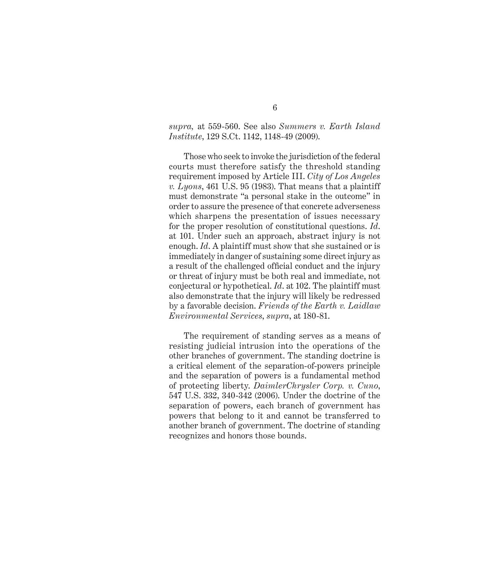#### *supra,* at 559-560. See also *Summers v. Earth Island Institute*, 129 S.Ct. 1142, 1148-49 (2009).

Those who seek to invoke the jurisdiction of the federal courts must therefore satisfy the threshold standing requirement imposed by Article III. *City of Los Angeles v. Lyons*, 461 U.S. 95 (1983). That means that a plaintiff must demonstrate "a personal stake in the outcome" in order to assure the presence of that concrete adverseness which sharpens the presentation of issues necessary for the proper resolution of constitutional questions. *Id*. at 101. Under such an approach, abstract injury is not enough. *Id*. A plaintiff must show that she sustained or is immediately in danger of sustaining some direct injury as a result of the challenged official conduct and the injury or threat of injury must be both real and immediate, not conjectural or hypothetical. *Id*. at 102. The plaintiff must also demonstrate that the injury will likely be redressed by a favorable decision. *Friends of the Earth v. Laidlaw Environmental Services*, *supra*, at 180-81.

The requirement of standing serves as a means of resisting judicial intrusion into the operations of the other branches of government. The standing doctrine is a critical element of the separation-of-powers principle and the separation of powers is a fundamental method of protecting liberty. *DaimlerChrysler Corp. v. Cuno*, 547 U.S. 332, 340-342 (2006). Under the doctrine of the separation of powers, each branch of government has powers that belong to it and cannot be transferred to another branch of government. The doctrine of standing recognizes and honors those bounds.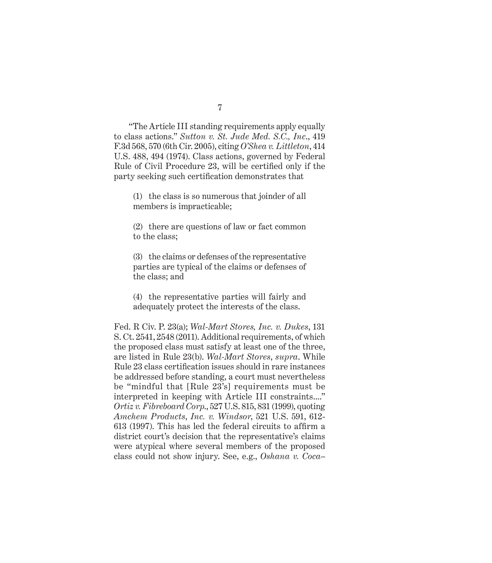"The Article III standing requirements apply equally to class actions." *Sutton v. St. Jude Med. S.C., Inc*., 419 F.3d 568, 570 (6th Cir. 2005), citing *O'Shea v. Littleton*, 414 U.S. 488, 494 (1974). Class actions, governed by Federal Rule of Civil Procedure 23, will be certified only if the party seeking such certification demonstrates that

(1) the class is so numerous that joinder of all members is impracticable;

(2) there are questions of law or fact common to the class;

(3) the claims or defenses of the representative parties are typical of the claims or defenses of the class; and

(4) the representative parties will fairly and adequately protect the interests of the class.

Fed. R Civ. P. 23(a); *Wal-Mart Stores, Inc. v. Dukes*, 131 S. Ct. 2541, 2548 (2011). Additional requirements, of which the proposed class must satisfy at least one of the three, are listed in Rule 23(b). *Wal-Mart Stores*, *supra*. While Rule 23 class certification issues should in rare instances be addressed before standing, a court must nevertheless be "mindful that [Rule 23's] requirements must be interpreted in keeping with Article III constraints...." *Ortiz v. Fibreboard Corp*., 527 U.S. 815, 831 (1999), quoting *Amchem Products*, *Inc. v. Windsor*, 521 U.S. 591, 612-  $613$  (1997). This has led the federal circuits to affirm a district court's decision that the representative's claims were atypical where several members of the proposed class could not show injury. See, e.g., *Oshana v. Coca–*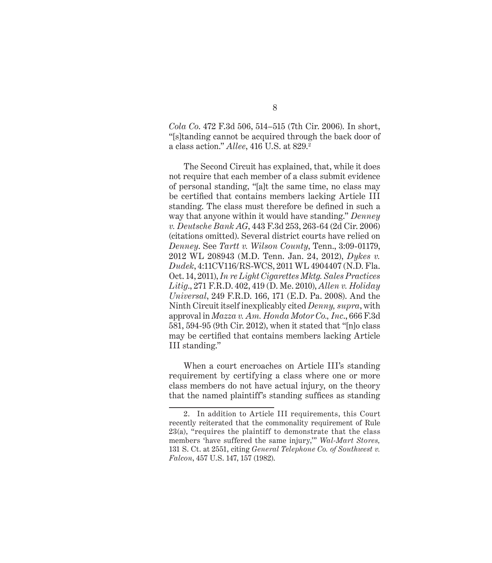*Cola Co*. 472 F.3d 506, 514–515 (7th Cir. 2006). In short, "[s]tanding cannot be acquired through the back door of a class action." *Allee*, 416 U.S. at 829.2

The Second Circuit has explained, that, while it does not require that each member of a class submit evidence of personal standing, "[a]t the same time, no class may be certified that contains members lacking Article III standing. The class must therefore be defined in such a way that anyone within it would have standing." *Denney v. Deutsche Bank AG*, 443 F.3d 253, 263-64 (2d Cir. 2006) (citations omitted). Several district courts have relied on *Denney*. See *Tartt v. Wilson County*, Tenn., 3:09-01179, 2012 WL 208943 (M.D. Tenn. Jan. 24, 2012), *Dykes v. Dudek*, 4:11CV116/RS-WCS, 2011 WL 4904407 (N.D. Fla. Oct. 14, 2011), *In re Light Cigarettes Mktg. Sales Practices Litig*., 271 F.R.D. 402, 419 (D. Me. 2010), *Allen v. Holiday Universal*, 249 F.R.D. 166, 171 (E.D. Pa. 2008). And the Ninth Circuit itself inexplicably cited *Denny, supra*, with approval in *Mazza v. Am. Honda Motor Co., Inc*., 666 F.3d 581, 594-95 (9th Cir. 2012), when it stated that "[n]o class may be certified that contains members lacking Article III standing."

When a court encroaches on Article III's standing requirement by certifying a class where one or more class members do not have actual injury, on the theory that the named plaintiff's standing suffices as standing

<sup>2.</sup> In addition to Article III requirements, this Court recently reiterated that the commonality requirement of Rule 23(a), "requires the plaintiff to demonstrate that the class members 'have suffered the same injury,'" *Wal-Mart Stores,*  131 S. Ct. at 2551, citing *General Telephone Co. of Southwest v. Falcon*, 457 U.S. 147, 157 (1982).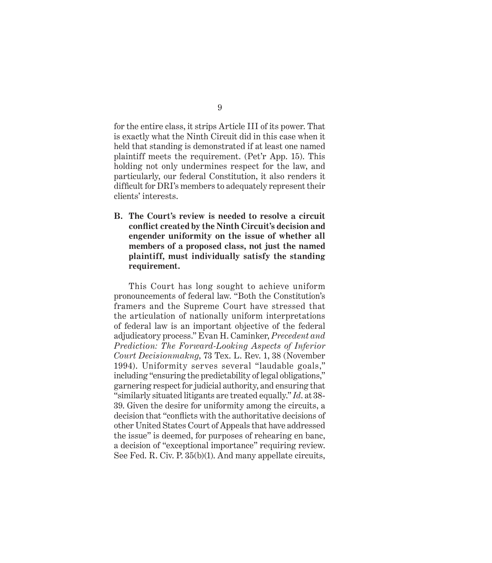for the entire class, it strips Article III of its power. That is exactly what the Ninth Circuit did in this case when it held that standing is demonstrated if at least one named plaintiff meets the requirement. (Pet'r App. 15). This holding not only undermines respect for the law, and particularly, our federal Constitution, it also renders it difficult for DRI's members to adequately represent their clients' interests.

**B. The Court's review is needed to resolve a circuit confl ict created by the Ninth Circuit's decision and engender uniformity on the issue of whether all members of a proposed class, not just the named plaintiff, must individually satisfy the standing requirement.** 

This Court has long sought to achieve uniform pronouncements of federal law. "Both the Constitution's framers and the Supreme Court have stressed that the articulation of nationally uniform interpretations of federal law is an important objective of the federal adjudicatory process." Evan H. Caminker, *Precedent and Prediction: The Forward-Looking Aspects of Inferior Court Decisionmakng*, 73 Tex. L. Rev. 1, 38 (November 1994). Uniformity serves several "laudable goals," including "ensuring the predictability of legal obligations," garnering respect for judicial authority, and ensuring that "similarly situated litigants are treated equally." *Id*. at 38- 39. Given the desire for uniformity among the circuits, a decision that "conflicts with the authoritative decisions of other United States Court of Appeals that have addressed the issue" is deemed, for purposes of rehearing en banc, a decision of "exceptional importance" requiring review. See Fed. R. Civ. P. 35(b)(1). And many appellate circuits,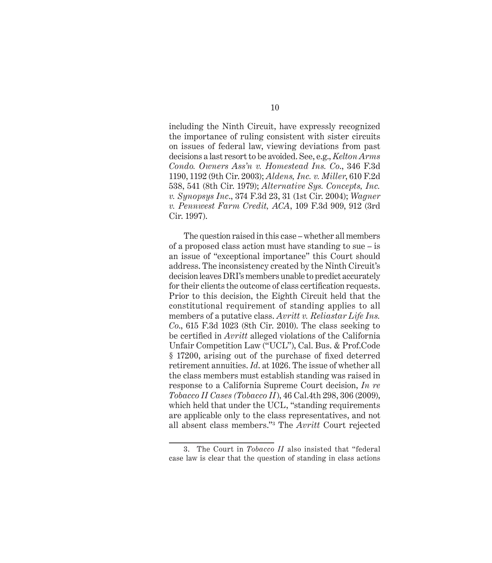including the Ninth Circuit, have expressly recognized the importance of ruling consistent with sister circuits on issues of federal law, viewing deviations from past decisions a last resort to be avoided. See, e.g., *Kelton Arms Condo. Owners Ass'n v. Homestead Ins. Co*., 346 F.3d 1190, 1192 (9th Cir. 2003); *Aldens, Inc. v. Miller*, 610 F.2d 538, 541 (8th Cir. 1979); *Alternative Sys. Concepts, Inc. v. Synopsys Inc*., 374 F.3d 23, 31 (1st Cir. 2004); *Wagner v. Pennwest Farm Credit, ACA*, 109 F.3d 909, 912 (3rd Cir. 1997).

The question raised in this case – whether all members of a proposed class action must have standing to sue – is an issue of "exceptional importance" this Court should address. The inconsistency created by the Ninth Circuit's decision leaves DRI's members unable to predict accurately for their clients the outcome of class certification requests. Prior to this decision, the Eighth Circuit held that the constitutional requirement of standing applies to all members of a putative class. *Avritt v. Reliastar Life Ins. Co*., 615 F.3d 1023 (8th Cir. 2010). The class seeking to be certified in *Avritt* alleged violations of the California Unfair Competition Law ("UCL"), Cal. Bus. & Prof.Code § 17200, arising out of the purchase of fixed deterred retirement annuities. *Id*. at 1026. The issue of whether all the class members must establish standing was raised in response to a California Supreme Court decision, *In re Tobacco II Cases (Tobacco II*), 46 Cal.4th 298, 306 (2009), which held that under the UCL, "standing requirements are applicable only to the class representatives, and not all absent class members."3 The *Avritt* Court rejected

<sup>3.</sup> The Court in *Tobacco II* also insisted that "federal case law is clear that the question of standing in class actions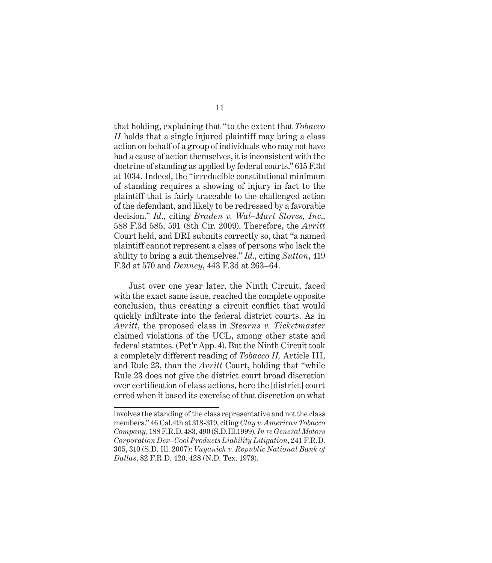that holding, explaining that "to the extent that *Tobacco II* holds that a single injured plaintiff may bring a class action on behalf of a group of individuals who may not have had a cause of action themselves, it is inconsistent with the doctrine of standing as applied by federal courts." 615 F.3d at 1034. Indeed, the "irreducible constitutional minimum of standing requires a showing of injury in fact to the plaintiff that is fairly traceable to the challenged action of the defendant, and likely to be redressed by a favorable decision." *Id*., citing *Braden v. Wal–Mart Stores, Inc*., 588 F.3d 585, 591 (8th Cir. 2009). Therefore, the *Avritt* Court held, and DRI submits correctly so, that "a named plaintiff cannot represent a class of persons who lack the ability to bring a suit themselves." *Id*., citing *Sutton*, 419 F.3d at 570 and *Denney*, 443 F.3d at 263–64.

Just over one year later, the Ninth Circuit, faced with the exact same issue, reached the complete opposite conclusion, thus creating a circuit conflict that would quickly infiltrate into the federal district courts. As in *Avritt*, the proposed class in *Stearns v. Ticketmaster* claimed violations of the UCL, among other state and federal statutes. (Pet'r App. 4). But the Ninth Circuit took a completely different reading of *Tobacco II,* Article III, and Rule 23, than the *Avritt* Court, holding that "while Rule 23 does not give the district court broad discretion over certification of class actions, here the [district] court erred when it based its exercise of that discretion on what

involves the standing of the class representative and not the class members." 46 Cal.4th at 318-319, citing *Clay v. American Tobacco Company,* 188 F.R.D. 483, 490 (S.D.Ill.1999), *In re General Motors Corporation Dex–Cool Products Liability Litigation*, 241 F.R.D. 305, 310 (S.D. Ill. 2007); *Vuyanich v. Republic National Bank of Dallas*, 82 F.R.D. 420, 428 (N.D. Tex. 1979).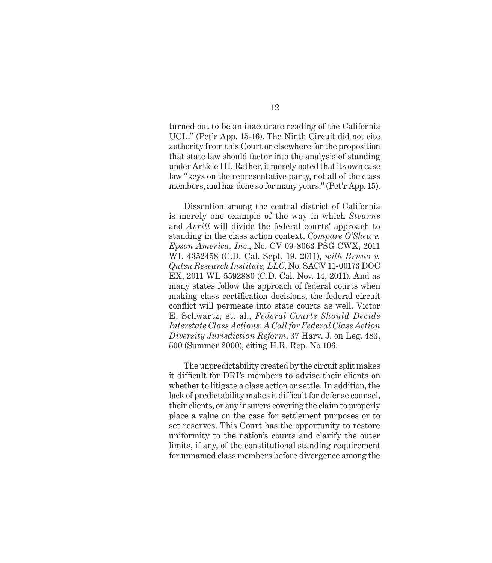turned out to be an inaccurate reading of the California UCL." (Pet'r App. 15-16). The Ninth Circuit did not cite authority from this Court or elsewhere for the proposition that state law should factor into the analysis of standing under Article III. Rather, it merely noted that its own case law "keys on the representative party, not all of the class members, and has done so for many years." (Pet'r App. 15).

Dissention among the central district of California is merely one example of the way in which *Stearns* and *Avritt* will divide the federal courts' approach to standing in the class action context. *Compare O'Shea v. Epson America, Inc*., No. CV 09-8063 PSG CWX, 2011 WL 4352458 (C.D. Cal. Sept. 19, 2011), *with Bruno v. Quten Research Institute, LLC*, No. SACV 11-00173 DOC EX, 2011 WL 5592880 (C.D. Cal. Nov. 14, 2011). And as many states follow the approach of federal courts when making class certification decisions, the federal circuit conflict will permeate into state courts as well. Victor E. Schwartz, et. al., *Federal Courts Should Decide Interstate Class Actions: A Call for Federal Class Action Diversity Jurisdiction Reform*, 37 Harv. J. on Leg. 483, 500 (Summer 2000), citing H.R. Rep. No 106.

The unpredictability created by the circuit split makes it difficult for DRI's members to advise their clients on whether to litigate a class action or settle. In addition, the lack of predictability makes it difficult for defense counsel, their clients, or any insurers covering the claim to properly place a value on the case for settlement purposes or to set reserves. This Court has the opportunity to restore uniformity to the nation's courts and clarify the outer limits, if any, of the constitutional standing requirement for unnamed class members before divergence among the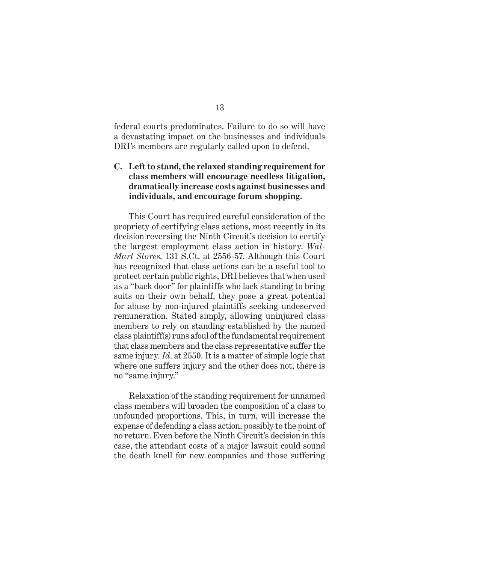federal courts predominates. Failure to do so will have a devastating impact on the businesses and individuals DRI's members are regularly called upon to defend.

#### **C. Left to stand, the relaxed standing requirement for class members will encourage needless litigation, dramatically increase costs against businesses and individuals, and encourage forum shopping.**

This Court has required careful consideration of the propriety of certifying class actions, most recently in its decision reversing the Ninth Circuit's decision to certify the largest employment class action in history. *Wal-Mart Stores,* 131 S.Ct. at 2556-57. Although this Court has recognized that class actions can be a useful tool to protect certain public rights, DRI believes that when used as a "back door" for plaintiffs who lack standing to bring suits on their own behalf, they pose a great potential for abuse by non-injured plaintiffs seeking undeserved remuneration. Stated simply, allowing uninjured class members to rely on standing established by the named class plaintiff(s) runs afoul of the fundamental requirement that class members and the class representative suffer the same injury. *Id*. at 2550. It is a matter of simple logic that where one suffers injury and the other does not, there is no "same injury."

Relaxation of the standing requirement for unnamed class members will broaden the composition of a class to unfounded proportions. This, in turn, will increase the expense of defending a class action, possibly to the point of no return. Even before the Ninth Circuit's decision in this case, the attendant costs of a major lawsuit could sound the death knell for new companies and those suffering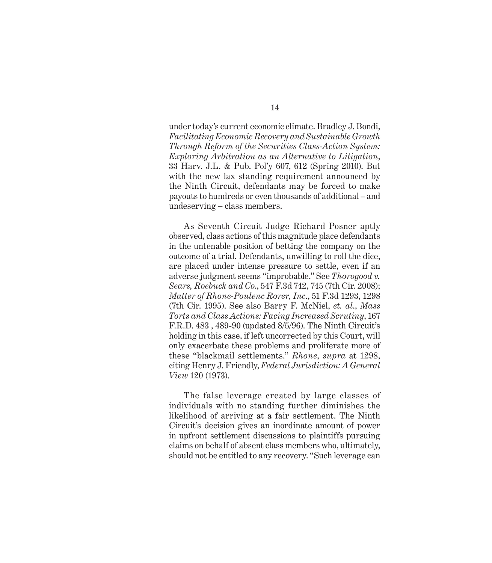under today's current economic climate. Bradley J. Bondi, *Facilitating Economic Recovery and Sustainable Growth Through Reform of the Securities Class-Action System: Exploring Arbitration as an Alternative to Litigation*, 33 Harv. J.L. & Pub. Pol'y 607, 612 (Spring 2010). But with the new lax standing requirement announced by the Ninth Circuit, defendants may be forced to make payouts to hundreds or even thousands of additional – and undeserving – class members.

As Seventh Circuit Judge Richard Posner aptly observed, class actions of this magnitude place defendants in the untenable position of betting the company on the outcome of a trial. Defendants, unwilling to roll the dice, are placed under intense pressure to settle, even if an adverse judgment seems "improbable." See *Thorogood v. Sears, Roebuck and Co*., 547 F.3d 742, 745 (7th Cir. 2008); *Matter of Rhone-Poulenc Rorer, Inc*., 51 F.3d 1293, 1298 (7th Cir. 1995). See also Barry F. McNiel, *et. al*., *Mass Torts and Class Actions: Facing Increased Scrutiny*, 167 F.R.D. 483 , 489-90 (updated 8/5/96). The Ninth Circuit's holding in this case, if left uncorrected by this Court, will only exacerbate these problems and proliferate more of these "blackmail settlements." *Rhone*, *supra* at 1298, citing Henry J. Friendly, *Federal Jurisdiction: A General View* 120 (1973).

The false leverage created by large classes of individuals with no standing further diminishes the likelihood of arriving at a fair settlement. The Ninth Circuit's decision gives an inordinate amount of power in upfront settlement discussions to plaintiffs pursuing claims on behalf of absent class members who, ultimately, should not be entitled to any recovery. "Such leverage can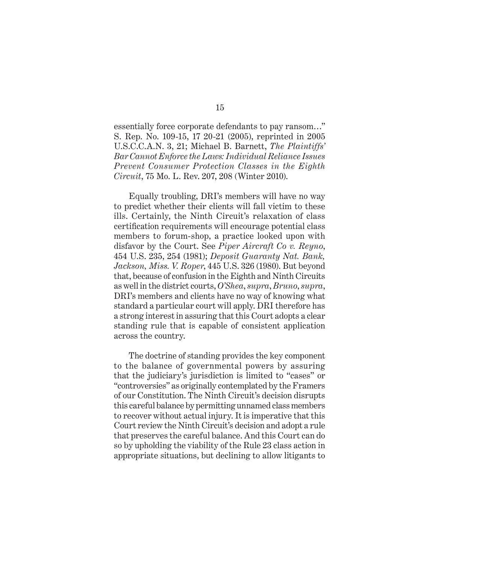essentially force corporate defendants to pay ransom…" S. Rep. No. 109-15, 17 20-21 (2005), reprinted in 2005 U.S.C.C.A.N. 3, 21; Michael B. Barnett, *The Plaintiffs' Bar Cannot Enforce the Laws: Individual Reliance Issues Prevent Consumer Protection Classes in the Eighth Circuit*, 75 Mo. L. Rev. 207, 208 (Winter 2010).

Equally troubling, DRI's members will have no way to predict whether their clients will fall victim to these ills. Certainly, the Ninth Circuit's relaxation of class certification requirements will encourage potential class members to forum-shop, a practice looked upon with disfavor by the Court. See *Piper Aircraft Co v. Reyno*, 454 U.S. 235, 254 (1981); *Deposit Guaranty Nat. Bank, Jackson, Miss. V. Roper*, 445 U.S. 326 (1980). But beyond that, because of confusion in the Eighth and Ninth Circuits as well in the district courts, *O'Shea*, *supra*, *Bruno*, *supra*, DRI's members and clients have no way of knowing what standard a particular court will apply. DRI therefore has a strong interest in assuring that this Court adopts a clear standing rule that is capable of consistent application across the country.

The doctrine of standing provides the key component to the balance of governmental powers by assuring that the judiciary's jurisdiction is limited to "cases" or "controversies" as originally contemplated by the Framers of our Constitution. The Ninth Circuit's decision disrupts this careful balance by permitting unnamed class members to recover without actual injury. It is imperative that this Court review the Ninth Circuit's decision and adopt a rule that preserves the careful balance. And this Court can do so by upholding the viability of the Rule 23 class action in appropriate situations, but declining to allow litigants to